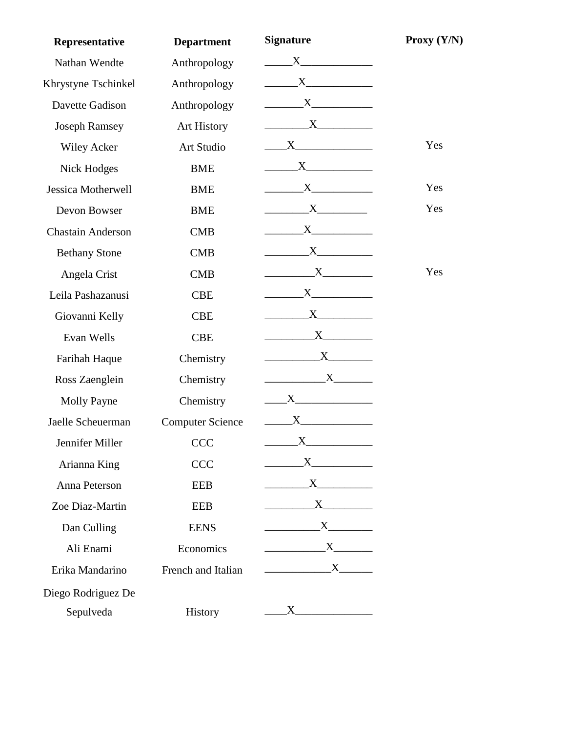| Representative           | <b>Department</b>       | <b>Signature</b>                                                                                                     | Proxy $(Y/N)$ |
|--------------------------|-------------------------|----------------------------------------------------------------------------------------------------------------------|---------------|
| Nathan Wendte            | Anthropology            | X                                                                                                                    |               |
| Khrystyne Tschinkel      | Anthropology            |                                                                                                                      |               |
| Davette Gadison          | Anthropology            | $\overline{\mathbf{X}}$                                                                                              |               |
| <b>Joseph Ramsey</b>     | <b>Art History</b>      |                                                                                                                      |               |
| <b>Wiley Acker</b>       | Art Studio              | $\mathbf{X}$ and $\mathbf{X}$ and $\mathbf{X}$ and $\mathbf{X}$                                                      | Yes           |
| Nick Hodges              | <b>BME</b>              |                                                                                                                      |               |
| Jessica Motherwell       | <b>BME</b>              |                                                                                                                      | Yes           |
| Devon Bowser             | <b>BME</b>              |                                                                                                                      | Yes           |
| <b>Chastain Anderson</b> | <b>CMB</b>              | $X$ and $X$                                                                                                          |               |
| <b>Bethany Stone</b>     | <b>CMB</b>              | $\mathbf{X}$ and $\mathbf{X}$ and $\mathbf{X}$ and $\mathbf{X}$                                                      |               |
| Angela Crist             | <b>CMB</b>              | $X$ and $X$                                                                                                          | Yes           |
| Leila Pashazanusi        | <b>CBE</b>              | $X \sim$                                                                                                             |               |
| Giovanni Kelly           | <b>CBE</b>              | $X$ and $X$                                                                                                          |               |
| Evan Wells               | <b>CBE</b>              |                                                                                                                      |               |
| Farihah Haque            | Chemistry               |                                                                                                                      |               |
| Ross Zaenglein           | Chemistry               | $\begin{array}{c}\nX\n\end{array}$                                                                                   |               |
| <b>Molly Payne</b>       | Chemistry               | $\mathbf{X}$ $\qquad$                                                                                                |               |
| Jaelle Scheuerman        | <b>Computer Science</b> |                                                                                                                      |               |
| Jennifer Miller          | <b>CCC</b>              | $\mathbf{X}$                                                                                                         |               |
| Arianna King             | <b>CCC</b>              |                                                                                                                      |               |
| Anna Peterson            | <b>EEB</b>              | $X$ and $X$                                                                                                          |               |
| Zoe Diaz-Martin          | <b>EEB</b>              |                                                                                                                      |               |
| Dan Culling              | <b>EENS</b>             |                                                                                                                      |               |
| Ali Enami                | Economics               | $\mathbf{X}$                                                                                                         |               |
| Erika Mandarino          | French and Italian      | $\overbrace{\phantom{xxxxx}}$ $\overline{\phantom{xxxxx}}$ $\overline{\phantom{xxxxx}}$ $\overline{\phantom{xxxxx}}$ |               |
| Diego Rodriguez De       |                         |                                                                                                                      |               |
| Sepulveda                | History                 | $\mathbf{X}$                                                                                                         |               |